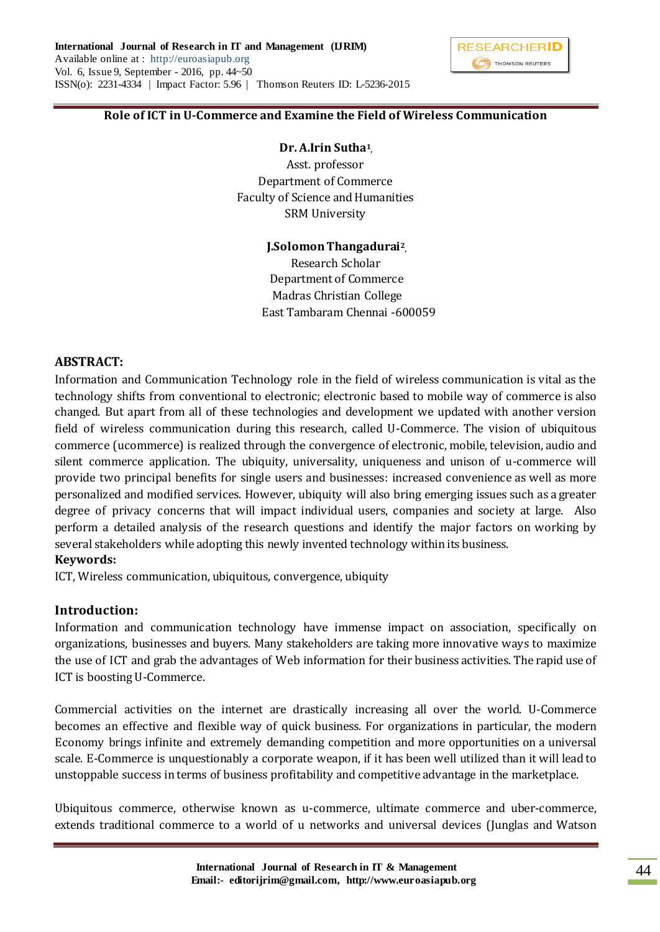## **Role of ICT in U-Commerce and Examine the Field of Wireless Communication**

### **Dr. A.Irin Sutha<sup>1</sup> ,**

Asst. professor Department of Commerce Faculty of Science and Humanities SRM University

### **J.Solomon Thangadurai<sup>2</sup> ,**

 Research Scholar Department of Commerce Madras Christian College East Tambaram Chennai -600059

### **ABSTRACT:**

Information and Communication Technology role in the field of wireless communication is vital as the technology shifts from conventional to electronic; electronic based to mobile way of commerce is also changed. But apart from all of these technologies and development we updated with another version field of wireless communication during this research, called U-Commerce. The vision of ubiquitous commerce (ucommerce) is realized through the convergence of electronic, mobile, television, audio and silent commerce application. The ubiquity, universality, uniqueness and unison of u-commerce will provide two principal benefits for single users and businesses: increased convenience as well as more personalized and modified services. However, ubiquity will also bring emerging issues such as a greater degree of privacy concerns that will impact individual users, companies and society at large. Also perform a detailed analysis of the research questions and identify the major factors on working by several stakeholders while adopting this newly invented technology within its business.

### **Keywords:**

ICT, Wireless communication, ubiquitous, convergence, ubiquity

## **Introduction:**

Information and communication technology have immense impact on association, specifically on organizations, businesses and buyers. Many stakeholders are taking more innovative ways to maximize the use of ICT and grab the advantages of Web information for their business activities. The rapid use of ICT is boosting U-Commerce.

Commercial activities on the internet are drastically increasing all over the world. U-Commerce becomes an effective and flexible way of quick business. For organizations in particular, the modern Economy brings infinite and extremely demanding competition and more opportunities on a universal scale. E-Commerce is unquestionably a corporate weapon, if it has been well utilized than it will lead to unstoppable success in terms of business profitability and competitive advantage in the marketplace.

Ubiquitous commerce, otherwise known as u-commerce, ultimate commerce and uber-commerce, extends traditional commerce to a world of u networks and universal devices (Junglas and Watson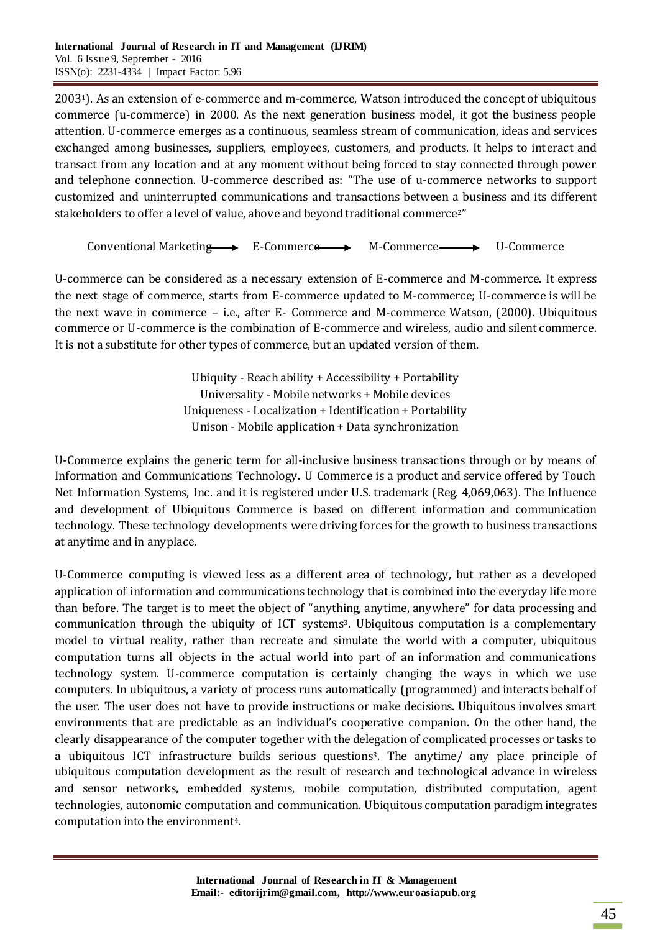20031). As an extension of e-commerce and m-commerce, Watson introduced the concept of ubiquitous commerce (u-commerce) in 2000. As the next generation business model, it got the business people attention. U-commerce emerges as a continuous, seamless stream of communication, ideas and services exchanged among businesses, suppliers, employees, customers, and products. It helps to interact and transact from any location and at any moment without being forced to stay connected through power and telephone connection. U-commerce described as: "The use of u-commerce networks to support customized and uninterrupted communications and transactions between a business and its different stakeholders to offer a level of value, above and beyond traditional commerce<sup>2"</sup>

Conventional Marketing  $\longrightarrow$  E-Commerce  $\longrightarrow$  M-Commerce  $\longrightarrow$  U-Commerce

U-commerce can be considered as a necessary extension of E-commerce and M-commerce. It express the next stage of commerce, starts from E-commerce updated to M-commerce; U-commerce is will be the next wave in commerce – i.e., after E- Commerce and M-commerce Watson, (2000). Ubiquitous commerce or U-commerce is the combination of E-commerce and wireless, audio and silent commerce. It is not a substitute for other types of commerce, but an updated version of them.

> Ubiquity - Reach ability + Accessibility + Portability Universality - Mobile networks + Mobile devices Uniqueness - Localization + Identification + Portability Unison - Mobile application + Data synchronization

U-Commerce explains the generic term for all-inclusive business transactions through or by means of Information and Communications Technology. U Commerce is a product and service offered by Touch Net Information Systems, Inc. and it is registered under U.S. trademark (Reg. 4,069,063). The Influence and development of Ubiquitous Commerce is based on different information and communication technology. These technology developments were driving forces for the growth to business transactions at anytime and in anyplace.

U-Commerce computing is viewed less as a different area of technology, but rather as a developed application of information and communications technology that is combined into the everyday life more than before. The target is to meet the object of "anything, anytime, anywhere" for data processing and communication through the ubiquity of ICT systems3. Ubiquitous computation is a complementary model to virtual reality, rather than recreate and simulate the world with a computer, ubiquitous computation turns all objects in the actual world into part of an information and communications technology system. U-commerce computation is certainly changing the ways in which we use computers. In ubiquitous, a variety of process runs automatically (programmed) and interacts behalf of the user. The user does not have to provide instructions or make decisions. Ubiquitous involves smart environments that are predictable as an individual's cooperative companion. On the other hand, the clearly disappearance of the computer together with the delegation of complicated processes or tasks to a ubiquitous ICT infrastructure builds serious questions3. The anytime/ any place principle of ubiquitous computation development as the result of research and technological advance in wireless and sensor networks, embedded systems, mobile computation, distributed computation, agent technologies, autonomic computation and communication. Ubiquitous computation paradigm integrates computation into the environment<sup>4</sup>.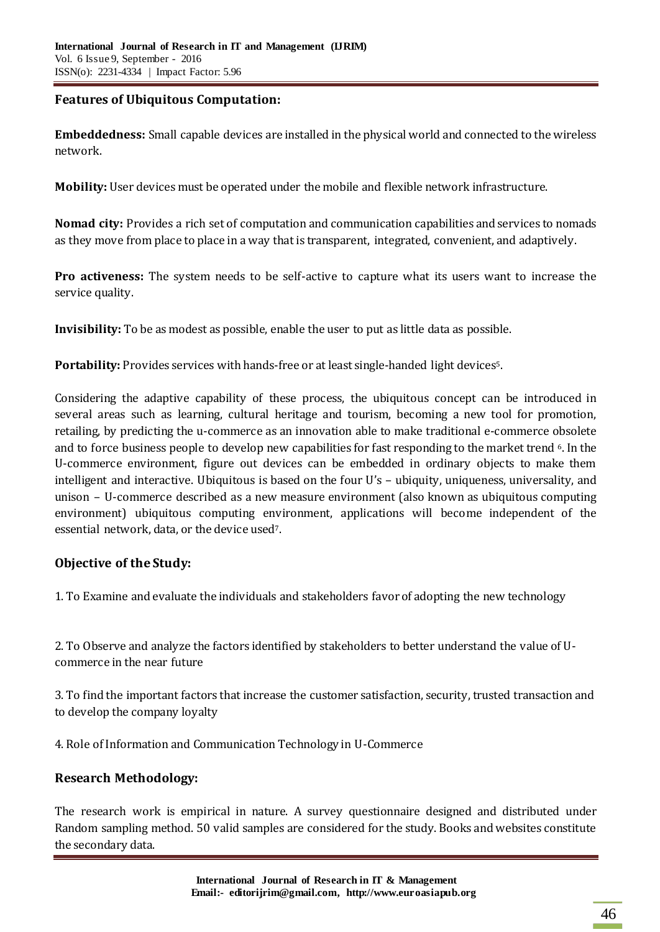# **Features of Ubiquitous Computation:**

**Embeddedness:** Small capable devices are installed in the physical world and connected to the wireless network.

**Mobility:** User devices must be operated under the mobile and flexible network infrastructure.

**Nomad city:** Provides a rich set of computation and communication capabilities and services to nomads as they move from place to place in a way that is transparent, integrated, convenient, and adaptively.

**Pro activeness:** The system needs to be self-active to capture what its users want to increase the service quality.

**Invisibility:** To be as modest as possible, enable the user to put as little data as possible.

**Portability:** Provides services with hands-free or at least single-handed light devices<sup>5</sup>.

Considering the adaptive capability of these process, the ubiquitous concept can be introduced in several areas such as learning, cultural heritage and tourism, becoming a new tool for promotion, retailing, by predicting the u-commerce as an innovation able to make traditional e-commerce obsolete and to force business people to develop new capabilities for fast responding to the market trend 6. In the U-commerce environment, figure out devices can be embedded in ordinary objects to make them intelligent and interactive. Ubiquitous is based on the four U's – ubiquity, uniqueness, universality, and unison – U-commerce described as a new measure environment (also known as ubiquitous computing environment) ubiquitous computing environment, applications will become independent of the essential network, data, or the device used7.

# **Objective of the Study:**

1. To Examine and evaluate the individuals and stakeholders favor of adopting the new technology

2. To Observe and analyze the factors identified by stakeholders to better understand the value of Ucommerce in the near future

3. To find the important factors that increase the customer satisfaction, security, trusted transaction and to develop the company loyalty

4. Role of Information and Communication Technology in U-Commerce

# **Research Methodology:**

The research work is empirical in nature. A survey questionnaire designed and distributed under Random sampling method. 50 valid samples are considered for the study. Books and websites constitute the secondary data.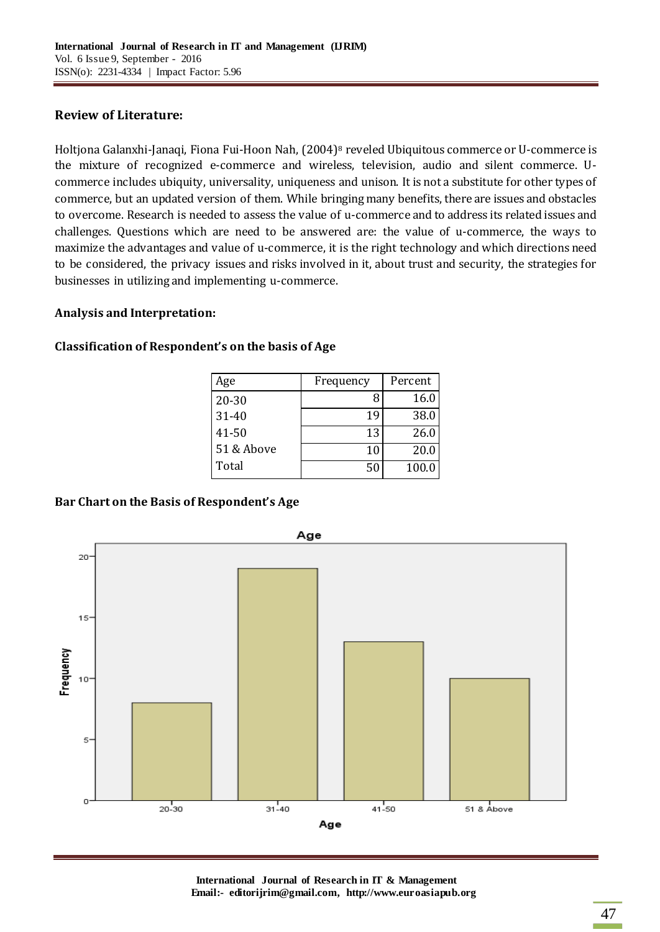# **Review of Literature:**

[Holtjona Galanxhi](http://www.emeraldinsight.com/action/doSearch?ContribStored=Galanxhi-Janaqi%2C+H)‐Janaqi, Fiona Fui‐[Hoon Nah,](http://www.emeraldinsight.com/action/doSearch?ContribStored=Fui-Hoon+Nah%2C+F) (2004)<sup>8</sup> reveled Ubiquitous commerce or U‐commerce is the mixture of recognized e-commerce and wireless, television, audio and silent commerce. Ucommerce includes ubiquity, universality, uniqueness and unison. It is not a substitute for other types of commerce, but an updated version of them. While bringing many benefits, there are issues and obstacles to overcome. Research is needed to assess the value of u‐commerce and to address its related issues and challenges. Questions which are need to be answered are: the value of u‐commerce, the ways to maximize the advantages and value of u-commerce, it is the right technology and which directions need to be considered, the privacy issues and risks involved in it, about trust and security, the strategies for businesses in utilizing and implementing u‐commerce.

## **Analysis and Interpretation:**

| Age        | Frequency | Percent |
|------------|-----------|---------|
| 20-30      | 8         | 16.0    |
| 31-40      | 19        | 38.0    |
| 41-50      | 13        | 26.0    |
| 51 & Above | 10        | 20.0    |
| Total      | 50        | 100.0   |

# **Classification of Respondent's on the basis of Age**

# **Bar Chart on the Basis of Respondent's Age**



**International Journal of Research in IT & Management Email:- editorijrim@gmail.com, http://www.euroasiapub.org**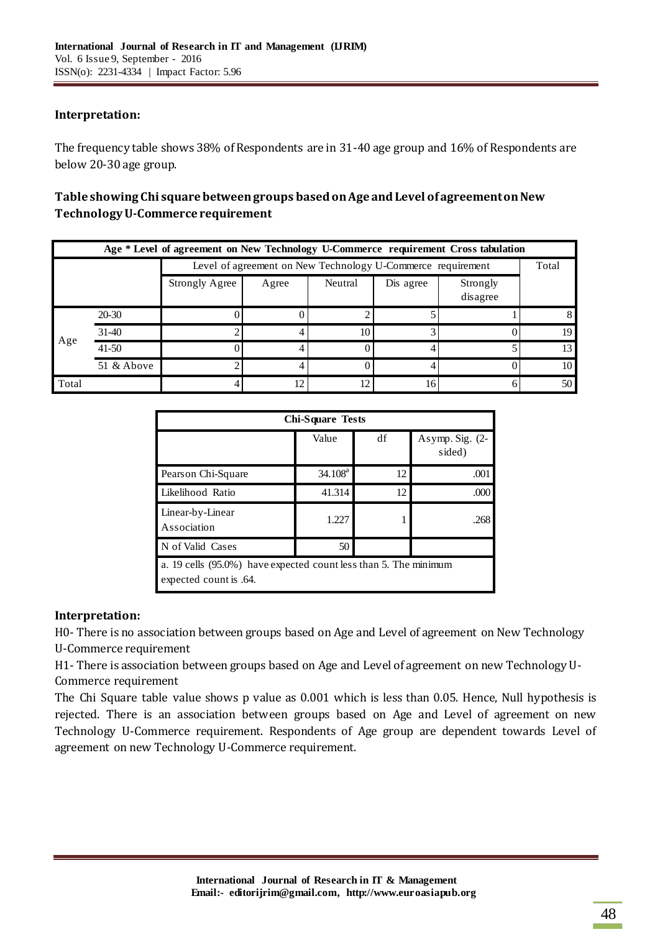# **Interpretation:**

The frequency table shows 38% of Respondents are in 31-40 age group and 16% of Respondents are below 20-30 age group.

# **Table showing Chi square between groups based on Age and Level of agreement on New Technology U-Commerce requirement**

| Age * Level of agreement on New Technology U-Commerce requirement Cross tabulation |            |                                                             |       |         |           |                      |       |
|------------------------------------------------------------------------------------|------------|-------------------------------------------------------------|-------|---------|-----------|----------------------|-------|
|                                                                                    |            | Level of agreement on New Technology U-Commerce requirement |       |         |           |                      | Total |
|                                                                                    |            | <b>Strongly Agree</b>                                       | Agree | Neutral | Dis agree | Strongly<br>disagree |       |
|                                                                                    | 20-30      |                                                             |       |         |           |                      |       |
|                                                                                    | $31-40$    |                                                             |       | 10      |           |                      | 19    |
| Age                                                                                | $41 - 50$  |                                                             |       |         |           |                      |       |
|                                                                                    | 51 & Above |                                                             |       |         |           |                      | 10    |
| Total                                                                              |            |                                                             | 12    | 12      | 16        | 6                    | 50    |

| <b>Chi-Square Tests</b>                                                                    |            |    |                           |  |
|--------------------------------------------------------------------------------------------|------------|----|---------------------------|--|
|                                                                                            | Value      | df | Asymp. Sig. (2-<br>sided) |  |
| Pearson Chi-Square                                                                         | $34.108^a$ | 12 | .001                      |  |
| Likelihood Ratio                                                                           | 41.314     | 12 | .000                      |  |
| Linear-by-Linear<br>Association                                                            | 1.227      |    | .268                      |  |
| N of Valid Cases                                                                           | 50         |    |                           |  |
| a. 19 cells (95.0%) have expected count less than 5. The minimum<br>expected count is .64. |            |    |                           |  |

## **Interpretation:**

H0- There is no association between groups based on Age and Level of agreement on New Technology U-Commerce requirement

H1- There is association between groups based on Age and Level of agreement on new Technology U-Commerce requirement

The Chi Square table value shows p value as 0.001 which is less than 0.05. Hence, Null hypothesis is rejected. There is an association between groups based on Age and Level of agreement on new Technology U-Commerce requirement. Respondents of Age group are dependent towards Level of agreement on new Technology U-Commerce requirement.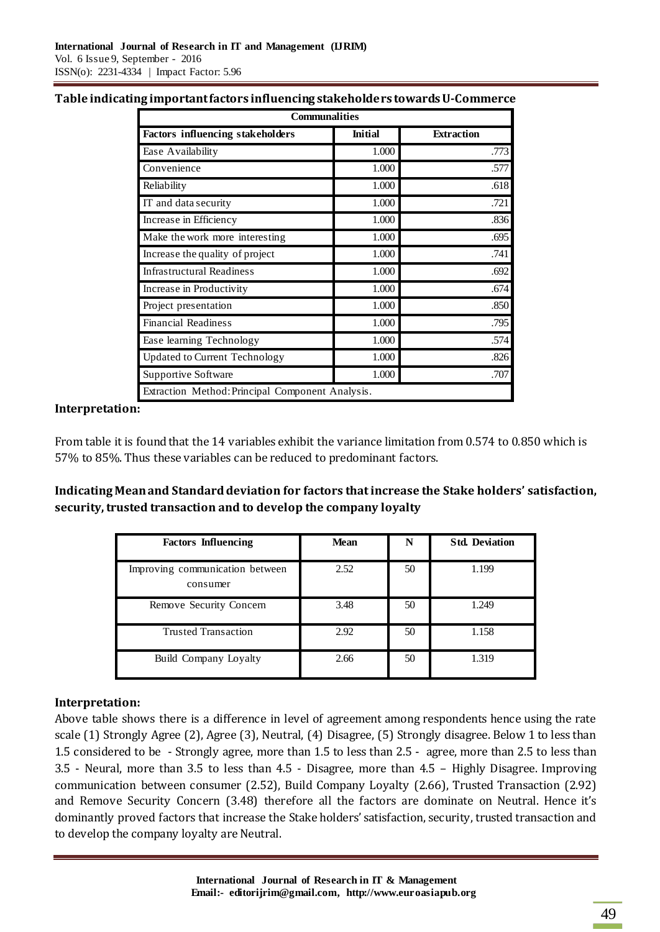| Table indicating important factors influencing stakeholders towards U-Commerce |  |  |
|--------------------------------------------------------------------------------|--|--|
|                                                                                |  |  |

| <b>Communalities</b>                             |                |                   |  |
|--------------------------------------------------|----------------|-------------------|--|
| <b>Factors influencing stakeholders</b>          | <b>Initial</b> | <b>Extraction</b> |  |
| Ease Availability                                | 1.000          | .773              |  |
| Convenience                                      | 1.000          | .577              |  |
| Reliability                                      | 1.000          | .618              |  |
| IT and data security                             | 1.000          | .721              |  |
| Increase in Efficiency                           | 1.000          | .836              |  |
| Make the work more interesting                   | 1.000          | .695              |  |
| Increase the quality of project                  | 1.000          | .741              |  |
| <b>Infrastructural Readiness</b>                 | 1.000          | .692              |  |
| Increase in Productivity                         | 1.000          | .674              |  |
| Project presentation                             | 1.000          | .850              |  |
| <b>Financial Readiness</b>                       | 1.000          | .795              |  |
| Ease learning Technology                         | 1.000          | .574              |  |
| <b>Updated to Current Technology</b>             | 1.000          | .826              |  |
| Supportive Software                              | 1.000          | .707              |  |
| Extraction Method: Principal Component Analysis. |                |                   |  |

### **Interpretation:**

From table it is found that the 14 variables exhibit the variance limitation from 0.574 to 0.850 which is 57% to 85%. Thus these variables can be reduced to predominant factors.

**Indicating Mean and Standard deviation for factors that increase the Stake holders' satisfaction,**  security, trusted transaction and to develop the company loyalty

| <b>Factors Influencing</b>                  | <b>Mean</b> | N  | <b>Std. Deviation</b> |
|---------------------------------------------|-------------|----|-----------------------|
| Improving communication between<br>consumer | 2.52        | 50 | 1.199                 |
| Remove Security Concern                     | 3.48        | 50 | 1.249                 |
| <b>Trusted Transaction</b>                  | 2.92        | 50 | 1.158                 |
| Build Company Loyalty                       | 2.66        | 50 | 1.319                 |

## **Interpretation:**

Above table shows there is a difference in level of agreement among respondents hence using the rate scale (1) Strongly Agree (2), Agree (3), Neutral, (4) Disagree, (5) Strongly disagree. Below 1 to less than 1.5 considered to be - Strongly agree, more than 1.5 to less than 2.5 - agree, more than 2.5 to less than 3.5 - Neural, more than 3.5 to less than 4.5 - Disagree, more than 4.5 – Highly Disagree. Improving communication between consumer (2.52), Build Company Loyalty (2.66), Trusted Transaction (2.92) and Remove Security Concern (3.48) therefore all the factors are dominate on Neutral. Hence it's dominantly proved factors that increase the Stake holders' satisfaction, security, trusted transaction and to develop the company loyalty are Neutral.